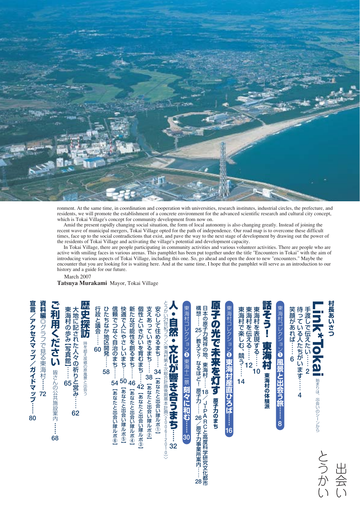

ronment. At the same time, in coordination and cooperation with universities, research institutes, industrial circles, the prefecture, and residents, we will promote the establishment of a concrete environment for the advanced scientific research and cultural city concept, which is Tokai Village's concept for community development from now on.

Amid the present rapidly changing social situation, the form of local autonomy is also changing greatly. Instead of joining the recent wave of municipal mergers, Tokai Village opted for the path of independence. Our road map is to overcome these difficult times, face up to the social contradictions that exist, and pave the way to the next stage of development by drawing out the power of the residents of Tokai Village and activating the village's potential and development capacity.

In Tokai Village, there are people participating in community activities and various volunteer activities. There are people who are active with smiling faces in various arenas. This pamphlet has been put together under the title "Encounters in Tokai" with the aim of introducing various aspects of Tokai Village, including this one. So, go ahead and open the door to new "encounters." Maybe the encounter that you are looking for is waiting here. And at the same time, I hope that the pamphlet will serve as an introduction to our history and a guide for our future.

March 2007

**Tatsuya Murakami** Mayor, Tokai Village

| 資料編◎グラフで見る東海村……<br>宣言<br>ノアクセスマップ<br>ノガイドマップ<br>72<br>80 | 夳<br>和用ください きさんの公共施設案内<br>$\vdots$<br>68 | 歴史探訪<br>大地に記された人々の祈りと営み・<br>東海村の歩み【写真館】……<br>時を超え故郷の原風景と出会う<br>65<br>62 | 行政と議会…… 60<br>快適で人にやさしいまち……<br>新たな可能性を創るまち…… 46<br>信頼でつなぐ自治のまち……<br>ひたちなか地区開発……<br>58<br>50<br>54<br>【あなたと出会い隊ルポ⑤】<br>【あなたと出会い隊ルポ④】<br>【あなたと出会い隊ルポ⑥】 | 支えあっていきるまち…… 33 [あなたと出会い隊ルボ②]<br>安心して住めるまち…… 34<br>個性といきがいを育むまち……<br>【あなたと出会い隊ルポ①】<br>42<br>【あなたと出会い隊ルポ③】 | とうかい21世紀プラン〈東海村第4次総合計画後期基本計画(2006-<br>、自然<br>・文化が響き合うまち……32<br>$\frac{1}{2}$ | 東海村コレクション3 東海十二景刻々に和む……30 | 原子の光で未来を灯<br>日本の原子力発祥の地、<br>構想…<br>25<br>/教えて?<br>なるほど!<br>東海村……<br>$\overline{\mathbf{g}}$<br>原子力…… 26<br>8<br>原子力のまち<br>→→PARCと高度科学研究文化<br>/原子力事業所案内: | 東海村コレクション2 東海村産直ひろば…… 16 | 話そう!<br>東海村で楽しむ、競う…<br>東海村を伝える…… 12<br>東海村を表現する……<br>東海村<br>10<br>東海村の体験派<br>14 | 東海村コレクション❶ 風景と出会う旅……<br>8 | 笑顔があれば……<br>待っ<br>手渡しで伝えたい……<br>ている~<br><b>へたちがいます…</b><br>6<br>$\overline{2}$<br>4 | $\mathsf{O}$<br><u><b>Sal</b></u><br>始まりは、<br>出会いのシーンから | 村長あいさつ |
|----------------------------------------------------------|------------------------------------------|-------------------------------------------------------------------------|------------------------------------------------------------------------------------------------------------------------------------------------------|-----------------------------------------------------------------------------------------------------------|------------------------------------------------------------------------------|---------------------------|---------------------------------------------------------------------------------------------------------------------------------------------------------|--------------------------|---------------------------------------------------------------------------------|---------------------------|-------------------------------------------------------------------------------------|---------------------------------------------------------|--------|
|----------------------------------------------------------|------------------------------------------|-------------------------------------------------------------------------|------------------------------------------------------------------------------------------------------------------------------------------------------|-----------------------------------------------------------------------------------------------------------|------------------------------------------------------------------------------|---------------------------|---------------------------------------------------------------------------------------------------------------------------------------------------------|--------------------------|---------------------------------------------------------------------------------|---------------------------|-------------------------------------------------------------------------------------|---------------------------------------------------------|--------|

都 市

… 28

会 い

か い